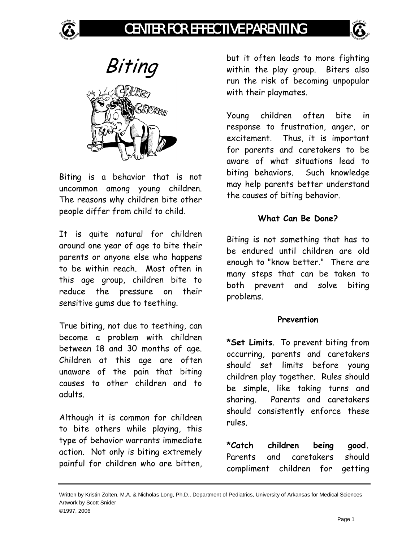

# CENTER FOR EFFECTIVE PARENTING





Biting is a behavior that is not uncommon among young children. The reasons why children bite other people differ from child to child.

It is quite natural for children around one year of age to bite their parents or anyone else who happens to be within reach. Most often in this age group, children bite to reduce the pressure on their sensitive gums due to teething.

True biting, not due to teething, can become a problem with children between 18 and 30 months of age. Children at this age are often unaware of the pain that biting causes to other children and to adults.

Although it is common for children to bite others while playing, this type of behavior warrants immediate action. Not only is biting extremely painful for children who are bitten, but it often leads to more fighting within the play group. Biters also run the risk of becoming unpopular with their playmates.

Young children often bite in response to frustration, anger, or excitement. Thus, it is important for parents and caretakers to be aware of what situations lead to biting behaviors. Such knowledge may help parents better understand the causes of biting behavior.

### **What Can Be Done?**

Biting is not something that has to be endured until children are old enough to "know better." There are many steps that can be taken to both prevent and solve biting problems.

#### **Prevention**

**\*Set Limits**. To prevent biting from occurring, parents and caretakers should set limits before young children play together. Rules should be simple, like taking turns and sharing. Parents and caretakers should consistently enforce these rules.

**\*Catch children being good.** Parents and caretakers should compliment children for getting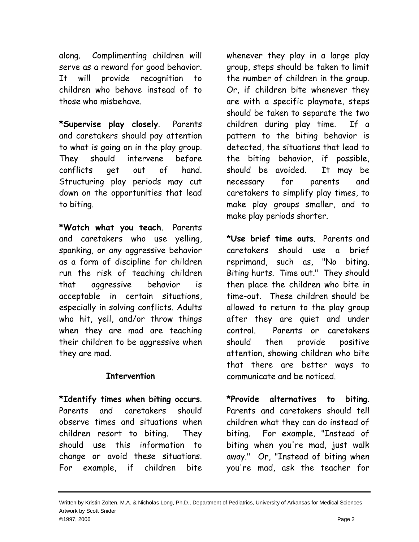along. Complimenting children will serve as a reward for good behavior. It will provide recognition to children who behave instead of to those who misbehave.

**\*Supervise play closely**. Parents and caretakers should pay attention to what is going on in the play group. They should intervene before conflicts get out of hand. Structuring play periods may cut down on the opportunities that lead to biting.

**\*Watch what you teach**. Parents and caretakers who use yelling, spanking, or any aggressive behavior as a form of discipline for children run the risk of teaching children that aggressive behavior is acceptable in certain situations, especially in solving conflicts. Adults who hit, yell, and/or throw things when they are mad are teaching their children to be aggressive when they are mad.

## **Intervention**

**\*Identify times when biting occurs**. Parents and caretakers should observe times and situations when children resort to biting. They should use this information to change or avoid these situations. For example, if children bite

whenever they play in a large play group, steps should be taken to limit the number of children in the group. Or, if children bite whenever they are with a specific playmate, steps should be taken to separate the two children during play time. If a pattern to the biting behavior is detected, the situations that lead to the biting behavior, if possible, should be avoided. It may be necessary for parents and caretakers to simplify play times, to make play groups smaller, and to make play periods shorter.

**\*Use brief time outs**. Parents and caretakers should use a brief reprimand, such as, "No biting. Biting hurts. Time out." They should then place the children who bite in time-out. These children should be allowed to return to the play group after they are quiet and under control. Parents or caretakers should then provide positive attention, showing children who bite that there are better ways to communicate and be noticed.

**\*Provide alternatives to biting**. Parents and caretakers should tell children what they can do instead of biting. For example, "Instead of biting when you're mad, just walk away." Or, "Instead of biting when you're mad, ask the teacher for